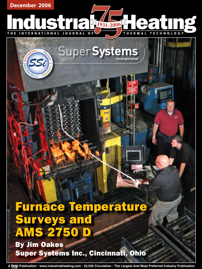

Super Systems

SSi

# Furnace Temperature **Surveys and AMS 2750**

By Jim Oakes Super Systems Inc., Cincinnati, Ohio

**A Publication • www.industrialheating.com • 23,030 Circulation • The Largest And Most Preferred Industry Publication**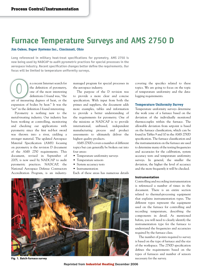# **Furnace Temperature Surveys and AMS 2750 D**

# **Jim Oakes, Super Systems Inc., Cincinnati, Ohio**

Long referenced in military heat-treat specifications for pyrometry, AMS 2750 is **now being used by NADCAP to audit pyrometric practices for special processes in the**  aerospace industry. Recent specification changes better define the requirements. Our **focus will be limited to temperature uniformity surveys.**

n a recent Internet search for the definition of pyrometry, one of the most interesting definitions I found was, "the art of measuring degrees of heat, or the definitions of pyrometry, one of the most interesting definitions I found was, "the art of measuring degrees of heat, or the expansion of bodies by heat." It was the "art" in the definition I found interesting.

 Pyrometry is nothing new to the metal-treating industry. Our industry has been working at controlling, monitoring and checking our applications with pyrometry since the first red-hot sword was thrown into a river, yielding a stronger material. The updated Aerospace Material Specification (AMS) focusing on pyrometry is the revision D document of the AMS 2750 requirements. This document, revised in September of 2005, is now used by NADCAP to audit pyrometric practices. NADCAP, the National Aerospace Defense Contractors Accreditation Program, is an industrymanaged program for special processes in the aerospace industry.

 The purpose of the D revision was to provide a more clear and concise specification. With input from both the primes and suppliers, the document adds more examples, tables and information to provide a better understanding of the requirements for pyrometry. One of the missions at NADCAP is to provide international, unbiased, independent manufacturing process and product assessments to ultimately deliver the highest quality products.

 AMS 2750D covers a number of different topics but can generally be broken out into four areas:

- Temperature uniformity surveys
- Temperature sensors
- System accuracy tests
- Instrumentation

Each of these areas has numerous details



**Fig. 1. Batch-furnace survey**

covering the specifics related to these topics. We are going to focus on the topic of temperature uniformity and the datalogging requirements.

# **Temperature Uniformity Survey**

Temperature uniformity surveys determine the work zone of a furnace based on the deviation of the individually monitored thermocouples within the furnace. The allowable deviation from setpoint is based on the furnace classification, which can be found in Tables 9 and 10 in the AMS 2750D specification. The furnace classification and the instrumentation on the furnace are used to determine many of the testing frequencies and accuracies for the calibration, system accuracy tests and temperature uniformity surveys. In general, the smaller the deviation, the higher the level of accuracy and the more frequently it will be checked.

#### **Instrumentation**

Controlling and recording instrumentation is referenced a number of times in the document. There is an entire section related to thermal-processing equipment that explains instrumentation types. The different types represent the equipment used on the furnace for controlling and recording temperature, describing the components in detail. As mentioned before, you will need to clearly identify the instrumentation type for the furnace to understand the frequencies and accuracies required by the furnace class.

 The number of points required to survey is based on the type of furnace and the size of the workspace. The 2750D specification defines the requirements based on the types of furnaces and number of sensors necessary for the survey.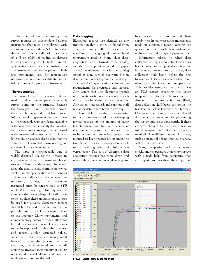The method for performing the survey requires an independent field-test instrument that must be calibrated with a primary or secondary NIST traceable device and has a calibration accuracy of  $\pm 1$ °F or  $\pm 0.1$ % of reading in degrees F (whichever is greater). Table 3 in the specification identifies the instruments and instrument calibration periods. Fieldtest instruments used for temperature uniformity surveys can be calibrated in the field with secondary-standard instruments.

# **Thermocouples**

Thermocouples are the sensors that are used to deliver the temperature at each survey point in the furnace. Because thermocouples have traceable errors, they can be corrected to deliver proper information during a survey. Be sure to have all thermocouple-wire certificates available with correction factors clearly documented. In practice, many surveys are performed with uncorrected values, which is fine as long as the procedures clearly state that the values are not corrected during reading but corrected for the survey results.

 The topic of thermocouple wire is widely discussed due to the increase in costs associated with the rising number of surveys. There are also many discussions about the quality of the thermocouple wire. Table 1 in the specification covers sensors and sensor calibration. For temperature uniformity surveys, the maximum permitted error for sensors used is ±4°F or ±0.75% of reading. This requires the complete thermocouple-spool certification to be less than these amounts, or it cannot be used for surveys. Correction factors should be clearly documented and, when possible, used to display corrected values to the operator. Many instruments and complementary software today allow for both device and thermocouple corrections to be incorporated so that the operator and reports display corrected values. Whether or not these are incorporated before or after the process, be sure that they are documented and that all employees involved in pyrometry or quality understand the calculation and how the final temperatures are derived.

# **Data Logging**

Electronic records are defined as any information that is stored in digital form. There are many different devices that translate an analog signal into a digital temperature reading. Many older dataacquisition units turned these analog signals into a point reported on paper. Today's equipment records the analog signal in some sort of electronic file on disk or some other type of media storage. The new AMS specification addresses the requirements for electronic data storage. Any system that uses electronic records must create write-once, read-only records that cannot be altered without detection. Any system that records information shall not allow data to be altered in any way.

There is definitely a shift in our industry to a non-paper-based record-keeping format because of the amount of paper that builds up over time and because of the number of years this information has to be maintained. Some heat treaters are required to keep records for an indefinite time frame. Today's technology lends itself to maintaining electronic information versus paper. The cost of electronic data acquisition systems has come down and now enables many commercial and captive heat treaters to add and expand these capabilities. In many cases, the investments made in electronic record keeping are quickly returned with less instrument maintenance and storage of paper records.

 Information related to when data collection during a survey should start has been changed in the updated specification. For temperature uniformity surveys, data collection shall begin before the first furnace or TUS sensor reaches the lower tolerance limit of each test temperature. This provides assurance that any furnace or TUS sensor exceeding the upper temperature-uniformity tolerance is clearly detected. If the furnace is prestabilized, data collection shall begin as soon as the test load or rack is loaded in the furnace. Operators performing surveys should document the procedures for performing the survey and use it consistently. If there are any changes to the procedures, an initial temperature uniformity survey is required. The different types of surveys, such as an initial versus a periodic survey, will be discussed later.

 Many companies perform pyrometry checks and temperature uniformity surveys with outside help from companies that are experts in providing these types of



**Fig. 2. Typical survey trend chart**